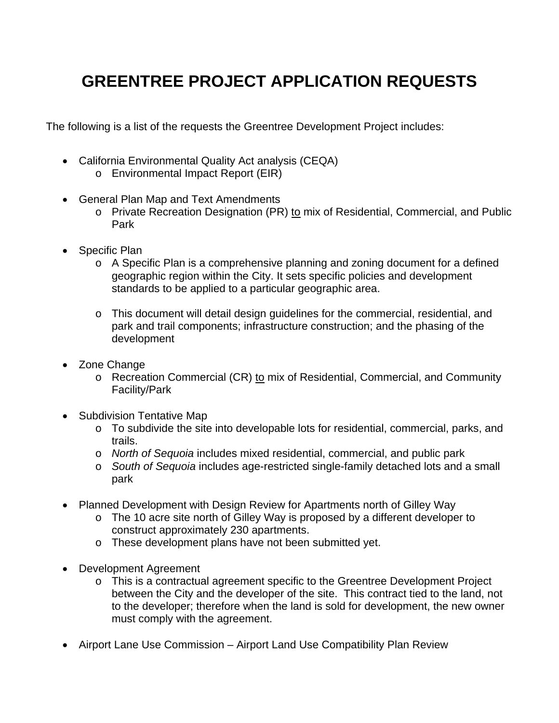### **GREENTREE PROJECT APPLICATION REQUESTS**

The following is a list of the requests the Greentree Development Project includes:

- California Environmental Quality Act analysis (CEQA) o Environmental Impact Report (EIR)
- General Plan Map and Text Amendments
	- o Private Recreation Designation (PR) to mix of Residential, Commercial, and Public Park
- Specific Plan
	- $\circ$  A Specific Plan is a comprehensive planning and zoning document for a defined geographic region within the City. It sets specific policies and development standards to be applied to a particular geographic area.
	- o This document will detail design guidelines for the commercial, residential, and park and trail components; infrastructure construction; and the phasing of the development
- Zone Change
	- o Recreation Commercial (CR) to mix of Residential, Commercial, and Community Facility/Park
- Subdivision Tentative Map
	- o To subdivide the site into developable lots for residential, commercial, parks, and trails.
	- o *North of Sequoia* includes mixed residential, commercial, and public park
	- o *South of Sequoia* includes age-restricted single-family detached lots and a small park
- Planned Development with Design Review for Apartments north of Gilley Way
	- o The 10 acre site north of Gilley Way is proposed by a different developer to construct approximately 230 apartments.
	- o These development plans have not been submitted yet.
- Development Agreement
	- o This is a contractual agreement specific to the Greentree Development Project between the City and the developer of the site. This contract tied to the land, not to the developer; therefore when the land is sold for development, the new owner must comply with the agreement.
- Airport Lane Use Commission Airport Land Use Compatibility Plan Review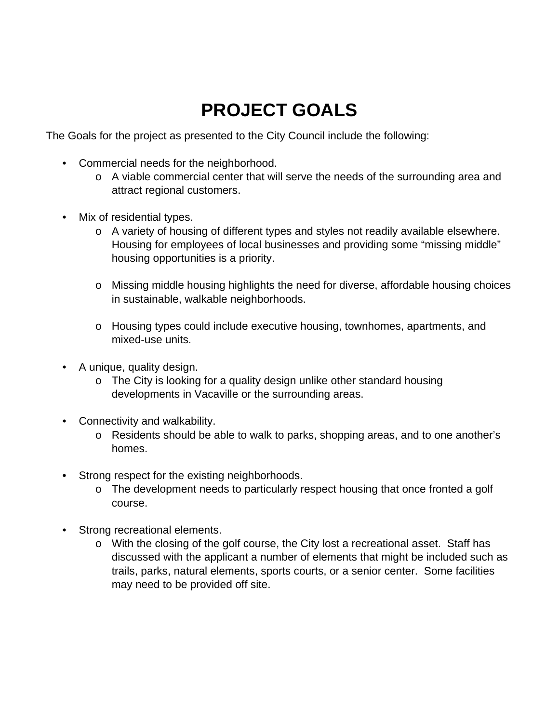# **PROJECT GOALS**

The Goals for the project as presented to the City Council include the following:

- Commercial needs for the neighborhood.
	- o A viable commercial center that will serve the needs of the surrounding area and attract regional customers.
- Mix of residential types.
	- o A variety of housing of different types and styles not readily available elsewhere. Housing for employees of local businesses and providing some "missing middle" housing opportunities is a priority.
	- o Missing middle housing highlights the need for diverse, affordable housing choices in sustainable, walkable neighborhoods.
	- o Housing types could include executive housing, townhomes, apartments, and mixed-use units.
- A unique, quality design.
	- $\circ$  The City is looking for a quality design unlike other standard housing developments in Vacaville or the surrounding areas.
- Connectivity and walkability.
	- o Residents should be able to walk to parks, shopping areas, and to one another's homes.
- Strong respect for the existing neighborhoods.
	- o The development needs to particularly respect housing that once fronted a golf course.
- Strong recreational elements.
	- o With the closing of the golf course, the City lost a recreational asset. Staff has discussed with the applicant a number of elements that might be included such as trails, parks, natural elements, sports courts, or a senior center. Some facilities may need to be provided off site.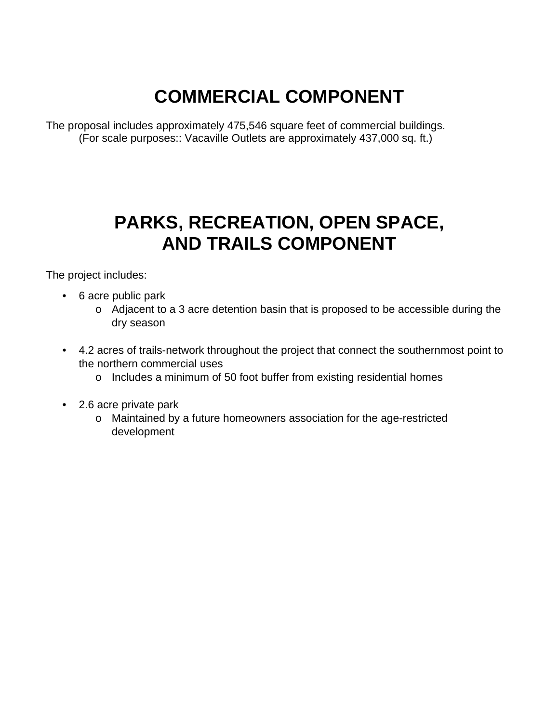# **COMMERCIAL COMPONENT**

The proposal includes approximately 475,546 square feet of commercial buildings. (For scale purposes:: Vacaville Outlets are approximately 437,000 sq. ft.)

## **PARKS, RECREATION, OPEN SPACE, AND TRAILS COMPONENT**

The project includes:

- 6 acre public park
	- o Adjacent to a 3 acre detention basin that is proposed to be accessible during the dry season
- 4.2 acres of trails-network throughout the project that connect the southernmost point to the northern commercial uses
	- o Includes a minimum of 50 foot buffer from existing residential homes
- 2.6 acre private park
	- o Maintained by a future homeowners association for the age-restricted development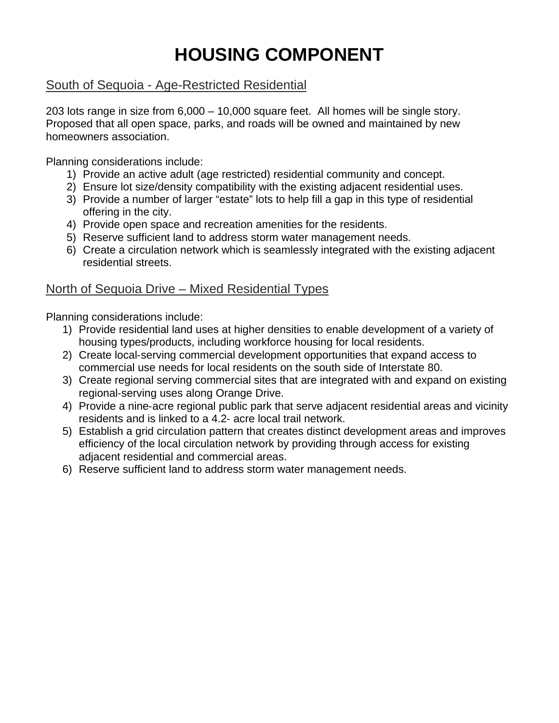# **HOUSING COMPONENT**

### South of Sequoia - Age-Restricted Residential

203 lots range in size from 6,000 – 10,000 square feet. All homes will be single story. Proposed that all open space, parks, and roads will be owned and maintained by new homeowners association.

Planning considerations include:

- 1) Provide an active adult (age restricted) residential community and concept.
- 2) Ensure lot size/density compatibility with the existing adjacent residential uses.
- 3) Provide a number of larger "estate" lots to help fill a gap in this type of residential offering in the city.
- 4) Provide open space and recreation amenities for the residents.
- 5) Reserve sufficient land to address storm water management needs.
- 6) Create a circulation network which is seamlessly integrated with the existing adjacent residential streets.

### North of Sequoia Drive – Mixed Residential Types

Planning considerations include:

- 1) Provide residential land uses at higher densities to enable development of a variety of housing types/products, including workforce housing for local residents.
- 2) Create local-serving commercial development opportunities that expand access to commercial use needs for local residents on the south side of Interstate 80.
- 3) Create regional serving commercial sites that are integrated with and expand on existing regional‐serving uses along Orange Drive.
- 4) Provide a nine-acre regional public park that serve adjacent residential areas and vicinity residents and is linked to a 4.2‐ acre local trail network.
- 5) Establish a grid circulation pattern that creates distinct development areas and improves efficiency of the local circulation network by providing through access for existing adjacent residential and commercial areas.
- 6) Reserve sufficient land to address storm water management needs.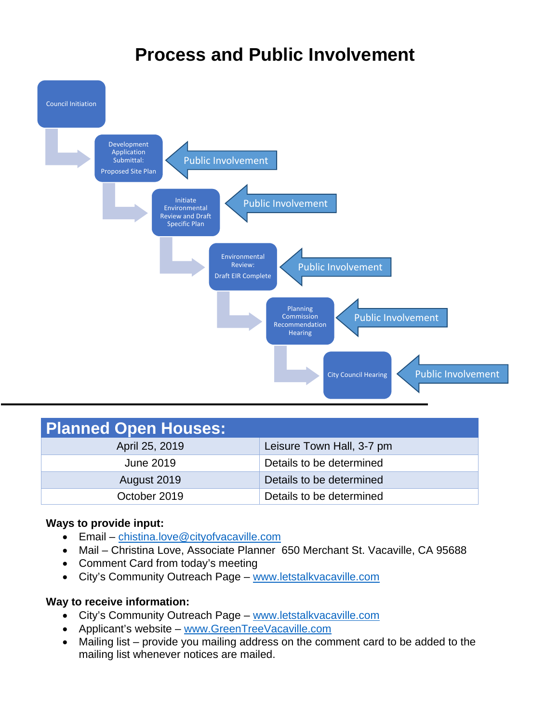### **Process and Public Involvement**



| <b>Planned Open Houses:</b> |                           |
|-----------------------------|---------------------------|
| April 25, 2019              | Leisure Town Hall, 3-7 pm |
| June 2019                   | Details to be determined  |
| August 2019                 | Details to be determined  |
| October 2019                | Details to be determined  |

#### **Ways to provide input:**

- Email chistina.love@cityofvacaville.com
- Mail Christina Love, Associate Planner 650 Merchant St. Vacaville, CA 95688
- Comment Card from today's meeting
- City's Community Outreach Page www.letstalkvacaville.com

#### **Way to receive information:**

- City's Community Outreach Page www.letstalkvacaville.com
- Applicant's website www.GreenTreeVacaville.com
- Mailing list provide you mailing address on the comment card to be added to the mailing list whenever notices are mailed.